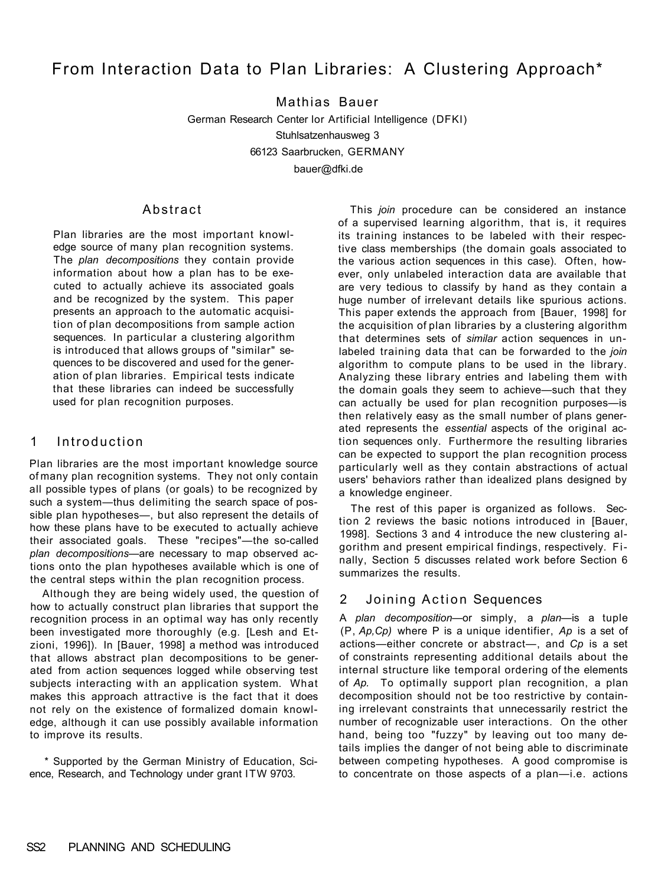# From Interaction Data to Plan Libraries: A Clustering Approach\*

Mathias Bauer German Research Center lor Artificial Intelligence (DFKI) Stuhlsatzenhausweg 3 66123 Saarbrucken, GERMANY bauer@dfki.de

#### **Abstract**

Plan libraries are the most important knowledge source of many plan recognition systems. The *plan decompositions* they contain provide information about how a plan has to be executed to actually achieve its associated goals and be recognized by the system. This paper presents an approach to the automatic acquisition of plan decompositions from sample action sequences. In particular a clustering algorithm is introduced that allows groups of "similar" sequences to be discovered and used for the generation of plan libraries. Empirical tests indicate that these libraries can indeed be successfully used for plan recognition purposes.

## 1 Introduction

Plan libraries are the most important knowledge source of many plan recognition systems. They not only contain all possible types of plans (or goals) to be recognized by such a system—thus delimiting the search space of possible plan hypotheses—, but also represent the details of how these plans have to be executed to actually achieve their associated goals. These "recipes"—the so-called *plan decompositions*—are necessary to map observed actions onto the plan hypotheses available which is one of the central steps within the plan recognition process.

Although they are being widely used, the question of how to actually construct plan libraries that support the recognition process in an optimal way has only recently been investigated more thoroughly (e.g. [Lesh and Etzioni, 1996]). In [Bauer, 1998] a method was introduced that allows abstract plan decompositions to be generated from action sequences logged while observing test subjects interacting with an application system. What makes this approach attractive is the fact that it does not rely on the existence of formalized domain knowledge, although it can use possibly available information to improve its results.

\* Supported by the German Ministry of Education, Science, Research, and Technology under grant ITW 9703.

This *join* procedure can be considered an instance of a supervised learning algorithm, that is, it requires its training instances to be labeled with their respective class memberships (the domain goals associated to the various action sequences in this case). Often, however, only unlabeled interaction data are available that are very tedious to classify by hand as they contain a huge number of irrelevant details like spurious actions. This paper extends the approach from [Bauer, 1998] for the acquisition of plan libraries by a clustering algorithm that determines sets of *similar* action sequences in unlabeled training data that can be forwarded to the *join*  algorithm to compute plans to be used in the library. Analyzing these library entries and labeling them with the domain goals they seem to achieve—such that they can actually be used for plan recognition purposes—is then relatively easy as the small number of plans generated represents the *essential* aspects of the original action sequences only. Furthermore the resulting libraries can be expected to support the plan recognition process particularly well as they contain abstractions of actual users' behaviors rather than idealized plans designed by a knowledge engineer.

The rest of this paper is organized as follows. Section 2 reviews the basic notions introduced in [Bauer, 1998]. Sections 3 and 4 introduce the new clustering algorithm and present empirical findings, respectively. Finally, Section 5 discusses related work before Section 6 summarizes the results.

## 2 Joining Action Sequences

A *plan decomposition*—or simply, a *plan*—is a tuple (P, *Ap,Cp)* where P is a unique identifier, *Ap* is a set of actions—either concrete or abstract—, and *Cp* is a set of constraints representing additional details about the internal structure like temporal ordering of the elements of *Ap.* To optimally support plan recognition, a plan decomposition should not be too restrictive by containing irrelevant constraints that unnecessarily restrict the number of recognizable user interactions. On the other hand, being too "fuzzy" by leaving out too many details implies the danger of not being able to discriminate between competing hypotheses. A good compromise is to concentrate on those aspects of a plan—i.e. actions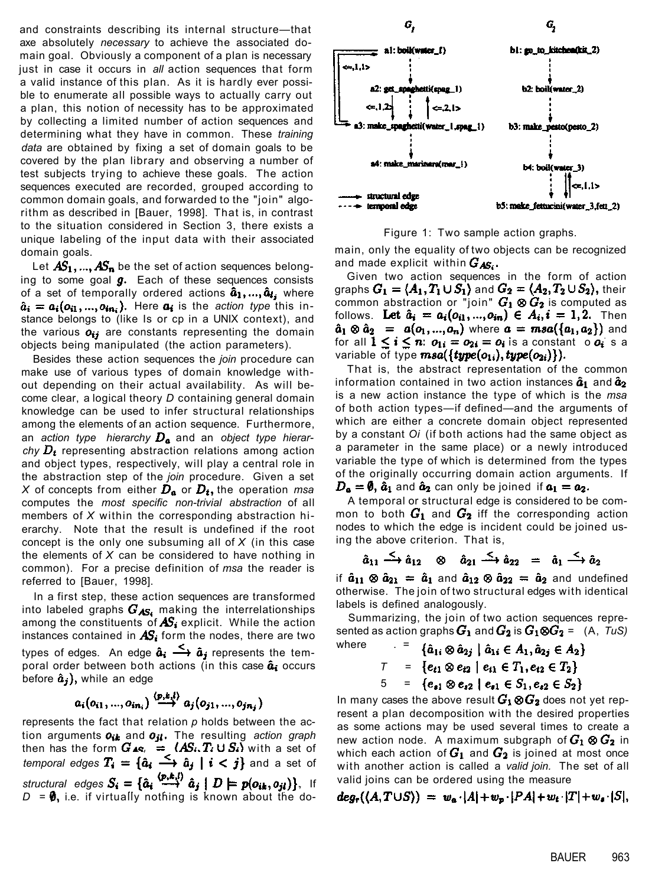and constraints describing its internal structure—that axe absolutely *necessary* to achieve the associated domain goal. Obviously a component of a plan is necessary just in case it occurs in *all* action sequences that form a valid instance of this plan. As it is hardly ever possible to enumerate all possible ways to actually carry out a plan, this notion of necessity has to be approximated by collecting a limited number of action sequences and determining what they have in common. These *training data* are obtained by fixing a set of domain goals to be covered by the plan library and observing a number of test subjects trying to achieve these goals. The action sequences executed are recorded, grouped according to common domain goals, and forwarded to the "join" algorithm as described in [Bauer, 1998]. That is, in contrast to the situation considered in Section 3, there exists a unique labeling of the input data with their associated domain goals.

Let  $\mathbf{AS}_1, ..., \mathbf{AS}_n$  be the set of action sequences belonging to some goal  $g$ . Each of these sequences consists of a set of temporally ordered actions  $\hat{a}_1, ..., \hat{a}_i$ , where  $\hat{a}_i = a_i(o_{i1}, ..., o_{in_i})$ . Here  $a_i$  is the *action type* this instance belongs to (like Is or cp in a UNIX context), and the various  $\boldsymbol{o}_{ij}$  are constants representing the domain objects being manipulated (the action parameters).

Besides these action sequences the *join* procedure can make use of various types of domain knowledge without depending on their actual availability. As will become clear, a logical theory *D* containing general domain knowledge can be used to infer structural relationships among the elements of an action sequence. Furthermore, an action type hierarchy  $D_a$  and an object type hierar $chy D_t$  representing abstraction relations among action and object types, respectively, will play a central role in the abstraction step of the *join* procedure. Given a set *X* of concepts from either  $D_a$  or  $D_t$ , the operation *msa* computes the *most specific non-trivial abstraction* of all members of *X* within the corresponding abstraction hierarchy. Note that the result is undefined if the root concept is the only one subsuming all of *X* (in this case the elements of *X* can be considered to have nothing in common). For a precise definition of *msa* the reader is referred to [Bauer, 1998].

In a first step, these action sequences are transformed into labeled graphs  $G_{AS}$ , making the interrelationships among the constituents of  $AS_i$  explicit. While the action instances contained in  $\overline{AS_i}$  form the nodes, there are two types of edges. An edge  $\hat{a}_i \stackrel{\leq}{\longrightarrow} \hat{a}_j$  represents the temporal order between both actions (in this case  $\hat{a}_i$  occurs before  $\hat{a}_j$ , while an edge

$$
a_i(o_{i1},...,o_{in_i}) \stackrel{(p,k,l)}{\longrightarrow} a_j(o_{j1},...,o_{jn_j})
$$

represents the fact that relation *p* holds between the action arguments  $o_{ik}$  and  $o_{jl}$ . The resulting action graph then has the form  $G_{48}$ ,  $=$   $(AS_i, T_i \cup S_i)$  with a set of *temporal edges*  $T_i = {\hat{a}_i \longrightarrow \hat{a}_j \mid i < j}$  and a set of *structural edges*  $S_i = {\hat{a}_i \xrightarrow{\langle p,k,l \rangle} \hat{a}_j \mid D \models p(o_{ik}, o_{jl})}$ , If  $D = \emptyset$ , i.e. if virtually nothing is known about the do-



Figure 1: Two sample action graphs.

main, only the equality of two objects can be recognized and made explicit within  $G_{\text{AS}_i}$ .

Given two action sequences in the form of action graphs  $G_1 = \langle A_1, T_1 \cup S_1 \rangle$  and  $G_2 = \langle A_2, T_2 \cup S_2 \rangle$ , their common abstraction or "join"  $G_1 \otimes G_2$  is computed as follows. Let  $\hat{a}_i = a_i(o_{i1},...,o_{in}) \in A_i, i = 1,2$ . Then  $\hat{a}_1 \otimes \hat{a}_2 = a(o_1, ..., o_n)$  where  $a = masa(\{a_1, a_2\})$  and for all  $1 \le i \le n$ :  $o_{1i} = o_{2i} = o_i$  is a constant o  $o_i$  s a variable of type  $msa({\{type(o_{1i}), type(o_{2i})\}}).$ 

That is, the abstract representation of the common information contained in two action instances  $\hat{a}_1$  and  $\hat{a}_2$ is a new action instance the type of which is the *msa*  of both action types—if defined—and the arguments of which are either a concrete domain object represented by a constant *Oi* (if both actions had the same object as a parameter in the same place) or a newly introduced variable the type of which is determined from the types of the originally occurring domain action arguments. If  $D_{\bf a} = \emptyset$ ,  $\hat{a}_1$  and  $\hat{a}_2$  can only be joined if  $a_1 = a_2$ .

A temporal or structural edge is considered to be common to both  $G_1$  and  $G_2$  iff the corresponding action nodes to which the edge is incident could be joined using the above criterion. That is,

$$
\hat{a}_{11} \xrightarrow{\zeta} \hat{a}_{12} \quad \otimes \quad \hat{a}_{21} \xrightarrow{\zeta} \hat{a}_{22} \quad = \quad \hat{a}_1 \xrightarrow{\zeta} \hat{a}_2
$$

if  $\hat{a}_{11} \otimes \hat{a}_{21} = \hat{a}_1$  and  $\hat{a}_{12} \otimes \hat{a}_{22} = \hat{a}_2$  and undefined otherwise. The join of two structural edges with identical labels is defined analogously.

Summarizing, the join of two action sequences represented as action graphs  $G_1$  and  $G_2$  is  $G_1 \otimes G_2 = (A, T \cup S)$ where

$$
7 = \{a_{1i} \otimes a_{2j} \mid a_{1i} \in A_1, a_{2j} \in A_2\}
$$
  

$$
7 = \{e_{t1} \otimes e_{t2} \mid e_{t1} \in T_1, e_{t2} \in T_2\}
$$
  

$$
5 = \{e_{s1} \otimes e_{s2} \mid e_{s1} \in S_1, e_{s2} \in S_2\}
$$

In many cases the above result  $G_1 \otimes G_2$  does not yet represent a plan decomposition with the desired properties as some actions may be used several times to create a new action node. A maximum subgraph of  $G_1 \otimes G_2$  in which each action of  $G_1$  and  $G_2$  is joined at most once with another action is called a *valid join.* The set of all valid joins can be ordered using the measure

$$
deg_r((A,T\cup S)) = w_a \cdot |A| + w_p \cdot |PA| + w_t \cdot |T| + w_s \cdot |S|,
$$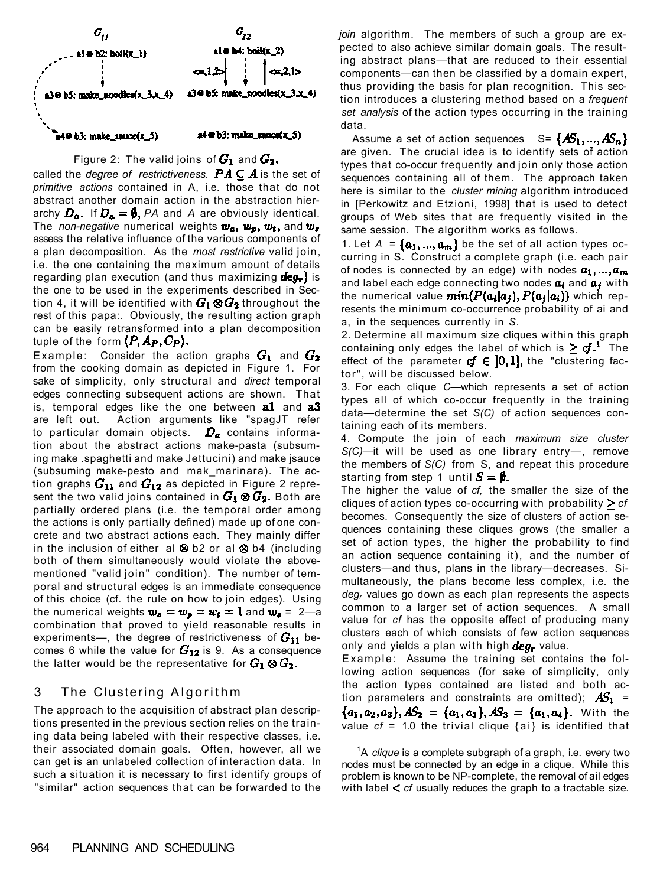

Figure 2: The valid joins of  $G_1$  and  $G_2$ . called the *degree of restrictiveness.*  $PA \subseteq A$  is the set of *primitive actions* contained in A, i.e. those that do not abstract another domain action in the abstraction hierarchy  $D_a$ . If  $D_a = \emptyset$ , PA and A are obviously identical. The *non-negative* numerical weights  $w_a$ ,  $w_p$ ,  $w_t$ , and  $w_s$ assess the relative influence of the various components of a plan decomposition. As the *most restrictive* valid join, i.e. the one containing the maximum amount of details regarding plan execution (and thus maximizing  $deg_r$ ) is the one to be used in the experiments described in Section 4, it will be identified with  $\bm{G_1}\otimes \bm{G_2}$  throughout the rest of this papa:. Obviously, the resulting action graph can be easily retransformed into a plan decomposition tuple of the form  $(P,A_P,C_P).$ 

Example: Consider the action graphs  $G_1$  and  $G_2$ from the cooking domain as depicted in Figure 1. For sake of simplicity, only structural and *direct* temporal edges connecting subsequent actions are shown. That is, temporal edges like the one between  $\mathbf{a1}$  and  $\mathbf{a3}$ are left out. Action arguments like "spagJT refer to particular domain objects.  $D_{\alpha}$  contains information about the abstract actions make-pasta (subsuming make .spaghetti and make Jettucini) and make jsauce (subsuming make-pesto and mak\_marinara). The action graphs  $G_{11}$  and  $G_{12}$  as depicted in Figure 2 represent the two valid joins contained in  $G_1\otimes G_2.$  Both are partially ordered plans (i.e. the temporal order among the actions is only partially defined) made up of one concrete and two abstract actions each. They mainly differ in the inclusion of either al  $\otimes$  b2 or al  $\otimes$  b4 (including both of them simultaneously would violate the abovementioned "valid join" condition). The number of temporal and structural edges is an immediate consequence of this choice (cf. the rule on how to join edges). Using the numerical weights  $w_a = w_p = w_t = 1$  and  $w_s = 2$ —a combination that proved to yield reasonable results in experiments—, the degree of restrictiveness of  $G_{11}$  becomes 6 while the value for  $G_{12}$  is 9. As a consequence the latter would be the representative for  $G_1 \otimes G_2$ .

## 3 The Clustering Algorithm

The approach to the acquisition of abstract plan descriptions presented in the previous section relies on the training data being labeled with their respective classes, i.e. their associated domain goals. Often, however, all we can get is an unlabeled collection of interaction data. In such a situation it is necessary to first identify groups of "similar" action sequences that can be forwarded to the

*join* algorithm. The members of such a group are expected to also achieve similar domain goals. The resulting abstract plans—that are reduced to their essential components—can then be classified by a domain expert, thus providing the basis for plan recognition. This section introduces a clustering method based on a *frequent set analysis* of the action types occurring in the training data.

Assume a set of action sequences  $S = \{AS_1, ..., AS_n\}$ are given. The crucial idea is to identify sets of action types that co-occur frequently and join only those action sequences containing all of them. The approach taken here is similar to the *cluster mining* algorithm introduced in [Perkowitz and Etzioni, 1998] that is used to detect groups of Web sites that are frequently visited in the same session. The algorithm works as follows.

1. Let  $A = {\boldsymbol{\alpha}_1, ..., \boldsymbol{\alpha}_m}$  be the set of all action types occurring in S. Construct a complete graph (i.e. each pair of nodes is connected by an edge) with nodes  $a_1, ..., a_m$ and label each edge connecting two nodes  $a_i$  and  $a_j$  with the numerical value  $min(P(a_i|a_j), P(a_j|a_i))$  which represents the minimum co-occurrence probability of ai and a, in the sequences currently in *S.* 

2. Determine all maximum size cliques within this graph containing only edges the label of which is  $\geq cf$ . The effect of the parameter  $cf \in [0,1]$ , the "clustering factor", will be discussed below.

3. For each clique *C*—which represents a set of action types all of which co-occur frequently in the training data—determine the set *S(C)* of action sequences containing each of its members.

4. Compute the join of each *maximum size cluster S(C)*—it will be used as one library entry—, remove the members of *S(C)* from S, and repeat this procedure starting from step 1 until  $S = \emptyset$ .

The higher the value of *cf,* the smaller the size of the cliques of action types co-occurring with probability  $\geq cf$ becomes. Consequently the size of clusters of action sequences containing these cliques grows (the smaller a set of action types, the higher the probability to find an action sequence containing it), and the number of clusters—and thus, plans in the library—decreases. Simultaneously, the plans become less complex, i.e. the *degr* values go down as each plan represents the aspects common to a larger set of action sequences. A small value for *cf* has the opposite effect of producing many clusters each of which consists of few action sequences only and yields a plan with high  $deg_{\tau}$  value.

Example: Assume the training set contains the following action sequences (for sake of simplicity, only the action types contained are listed and both action parameters and constraints are omitted);  $AS_1$  =  $\{a_1, a_2, a_3\}, AS_2 = \{a_1, a_3\}, AS_3 = \{a_1, a_4\}.$  With the value  $cf = 1.0$  the trivial clique  $\{ai\}$  is identified that

<sup>1</sup>A *clique* is a complete subgraph of a graph, i.e. every two nodes must be connected by an edge in a clique. While this problem is known to be NP-complete, the removal of ail edges with label *cf* usually reduces the graph to a tractable size.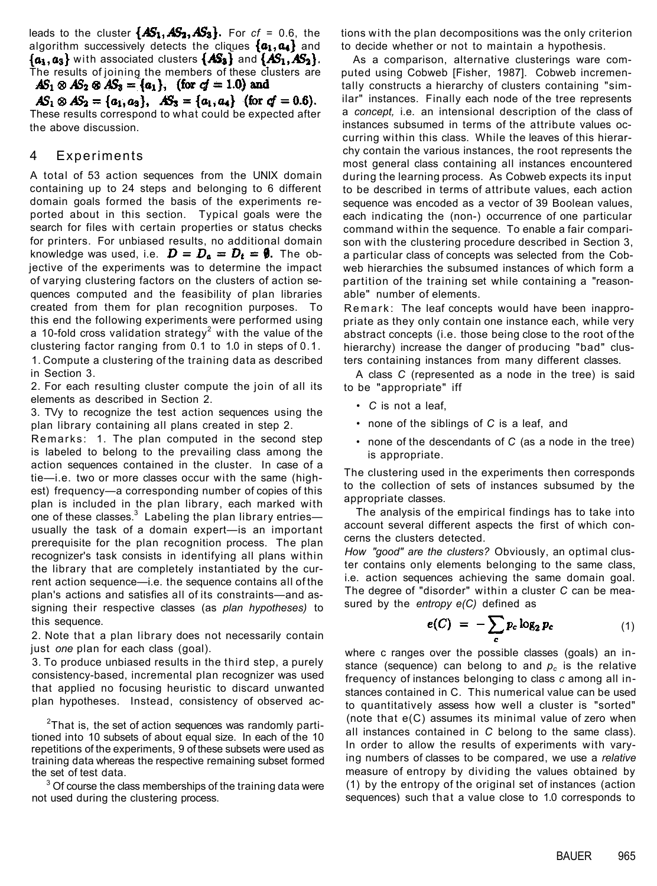leads to the cluster  $\{AS_1, AS_2, AS_3\}$ . For  $cf = 0.6$ , the algorithm successively detects the cliques  $\{a_1, a_4\}$  and  $\{a_1, a_3\}$  with associated clusters  $\{AS_3\}$  and  $\{AS_1, AS_2\}$ . The results of joining the members of these clusters are<br>**AS**<sub>1</sub>  $\otimes$  AS<sub>2</sub>  $\otimes$  AS<sub>3</sub> = { $a_1$ }, (for  $c f = 1.0$ ) and

 $AS_1 \otimes AS_2 = \{a_1, a_3\}, AS_3 = \{a_1, a_4\}$  (for  $cf = 0.6$ ). These results correspond to what could be expected after the above discussion.

## 4 Experiments

A total of 53 action sequences from the UNIX domain containing up to 24 steps and belonging to 6 different domain goals formed the basis of the experiments reported about in this section. Typical goals were the search for files with certain properties or status checks for printers. For unbiased results, no additional domain knowledge was used, i.e.  $\mathbf{D} = \mathbf{D}_a = \mathbf{D}_t = \mathbf{\emptyset}$ . The objective of the experiments was to determine the impact of varying clustering factors on the clusters of action sequences computed and the feasibility of plan libraries created from them for plan recognition purposes. To this end the following experiments were performed using a 10-fold cross validation strategy<sup>2</sup> with the value of the clustering factor ranging from 0.1 to 1.0 in steps of 0.1. 1. Compute a clustering of the training data as described in Section 3.

2. For each resulting cluster compute the join of all its elements as described in Section 2.

3. TVy to recognize the test action sequences using the plan library containing all plans created in step 2.

Remarks: 1. The plan computed in the second step is labeled to belong to the prevailing class among the action sequences contained in the cluster. In case of a tie—i.e. two or more classes occur with the same (highest) frequency—a corresponding number of copies of this plan is included in the plan library, each marked with one of these classes. $^3$  Labeling the plan library entries usually the task of a domain expert—is an important prerequisite for the plan recognition process. The plan recognizer's task consists in identifying all plans within the library that are completely instantiated by the current action sequence—i.e. the sequence contains all of the plan's actions and satisfies all of its constraints—and assigning their respective classes (as *plan hypotheses)* to this sequence.

2. Note that a plan library does not necessarily contain just *one* plan for each class (goal).

3. To produce unbiased results in the third step, a purely consistency-based, incremental plan recognizer was used that applied no focusing heuristic to discard unwanted plan hypotheses. Instead, consistency of observed ac-

 $2$ That is, the set of action sequences was randomly partitioned into 10 subsets of about equal size. In each of the 10 repetitions of the experiments, 9 of these subsets were used as training data whereas the respective remaining subset formed the set of test data.

 $3$  Of course the class memberships of the training data were not used during the clustering process.

tions with the plan decompositions was the only criterion to decide whether or not to maintain a hypothesis.

As a comparison, alternative clusterings ware computed using Cobweb [Fisher, 1987]. Cobweb incrementally constructs a hierarchy of clusters containing "similar" instances. Finally each node of the tree represents a *concept,* i.e. an intensional description of the class of instances subsumed in terms of the attribute values occurring within this class. While the leaves of this hierarchy contain the various instances, the root represents the most general class containing all instances encountered during the learning process. As Cobweb expects its input to be described in terms of attribute values, each action sequence was encoded as a vector of 39 Boolean values, each indicating the (non-) occurrence of one particular command within the sequence. To enable a fair comparison with the clustering procedure described in Section 3, a particular class of concepts was selected from the Cobweb hierarchies the subsumed instances of which form a partition of the training set while containing a "reasonable" number of elements.

Remark: The leaf concepts would have been inappropriate as they only contain one instance each, while very abstract concepts (i.e. those being close to the root of the hierarchy) increase the danger of producing "bad" clusters containing instances from many different classes.

A class *C* (represented as a node in the tree) is said to be "appropriate" iff

- • *C* is not a leaf,
- none of the siblings of *C* is a leaf, and
- none of the descendants of *C* (as a node in the tree) is appropriate.

The clustering used in the experiments then corresponds to the collection of sets of instances subsumed by the appropriate classes.

The analysis of the empirical findings has to take into account several different aspects the first of which concerns the clusters detected.

*How "good" are the clusters?* Obviously, an optimal cluster contains only elements belonging to the same class, i.e. action sequences achieving the same domain goal. The degree of "disorder" within a cluster *C* can be measured by the *entropy e(C)* defined as

$$
e(C) = -\sum_c p_c \log_2 p_c \tag{1}
$$

where c ranges over the possible classes (goals) an instance (sequence) can belong to and  $p_c$  is the relative frequency of instances belonging to class *c* among all instances contained in C. This numerical value can be used to quantitatively assess how well a cluster is "sorted" (note that e(C) assumes its minimal value of zero when all instances contained in *C* belong to the same class). In order to allow the results of experiments with varying numbers of classes to be compared, we use a *relative*  measure of entropy by dividing the values obtained by (1) by the entropy of the original set of instances (action sequences) such that a value close to 1.0 corresponds to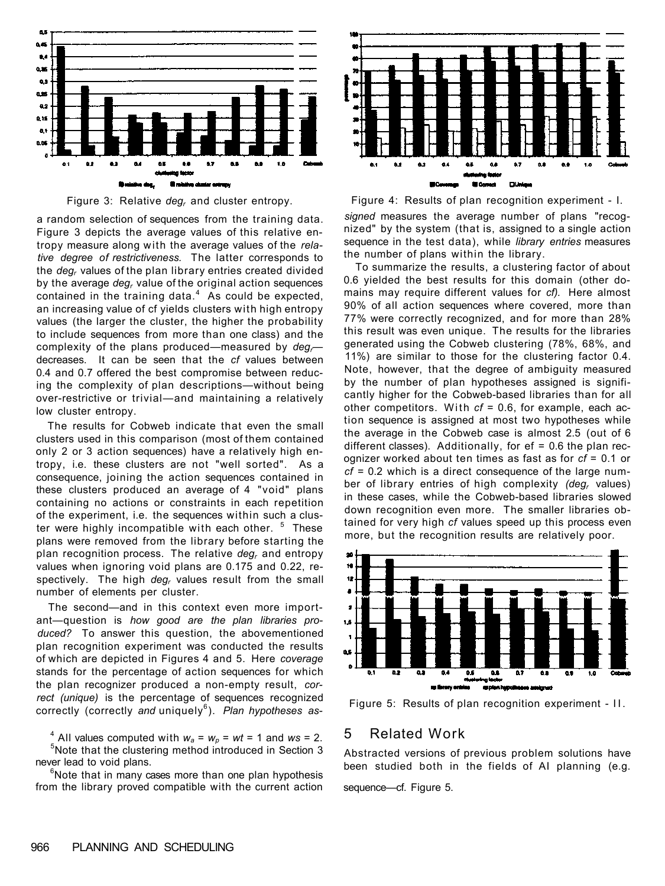



a random selection of sequences from the training data. Figure 3 depicts the average values of this relative entropy measure along with the average values of the *relative degree of restrictiveness.* The latter corresponds to the *degr* values of the plan library entries created divided by the average *degr* value of the original action sequences contained in the training data. $4$  As could be expected, an increasing value of cf yields clusters with high entropy values (the larger the cluster, the higher the probability to include sequences from more than one class) and the complexity of the plans produced—measured by dea decreases. It can be seen that the *cf* values between 0.4 and 0.7 offered the best compromise between reducing the complexity of plan descriptions—without being over-restrictive or trivial—and maintaining a relatively low cluster entropy.

The results for Cobweb indicate that even the small clusters used in this comparison (most of them contained only 2 or 3 action sequences) have a relatively high entropy, i.e. these clusters are not "well sorted". As a consequence, joining the action sequences contained in these clusters produced an average of 4 "void" plans containing no actions or constraints in each repetition of the experiment, i.e. the sequences within such a cluster were highly incompatible with each other. <sup>5</sup> These plans were removed from the library before starting the plan recognition process. The relative *degr* and entropy values when ignoring void plans are 0.175 and 0.22, respectively. The high *degr* values result from the small number of elements per cluster.

The second—and in this context even more important—question is *how good are the plan libraries produced?* To answer this question, the abovementioned plan recognition experiment was conducted the results of which are depicted in Figures 4 and 5. Here *coverage*  stands for the percentage of action sequences for which the plan recognizer produced a non-empty result, *correct (unique)* is the percentage of sequences recognized correctly (correctly and uniquely<sup>6</sup>). Plan hypotheses as-

<sup>4</sup> All values computed with  $w_a = w_p = wt = 1$  and  $ws = 2$ . <sup>5</sup>Note that the clustering method introduced in Section 3 never lead to void plans.

 $6$ Note that in many cases more than one plan hypothesis from the library proved compatible with the current action



Figure 4: Results of plan recognition experiment - I. *signed* measures the average number of plans "recognized" by the system (that is, assigned to a single action sequence in the test data), while *library entries* measures the number of plans within the library.

To summarize the results, a clustering factor of about 0.6 yielded the best results for this domain (other domains may require different values for *cf).* Here almost 90% of all action sequences where covered, more than 77% were correctly recognized, and for more than 28% this result was even unique. The results for the libraries generated using the Cobweb clustering (78%, 68%, and 11%) are similar to those for the clustering factor 0.4. Note, however, that the degree of ambiguity measured by the number of plan hypotheses assigned is significantly higher for the Cobweb-based libraries than for all other competitors. With  $cf = 0.6$ , for example, each action sequence is assigned at most two hypotheses while the average in the Cobweb case is almost 2.5 (out of 6 different classes). Additionally, for  $ef = 0.6$  the plan recognizer worked about ten times as fast as for *cf* = 0.1 or *cf* = 0.2 which is a direct consequence of the large number of library entries of high complexity *(degr* values) in these cases, while the Cobweb-based libraries slowed down recognition even more. The smaller libraries obtained for very high *cf* values speed up this process even more, but the recognition results are relatively poor.



Figure 5: Results of plan recognition experiment - II .

# 5 Related Work

Abstracted versions of previous problem solutions have been studied both in the fields of AI planning (e.g.

sequence—cf. Figure 5.